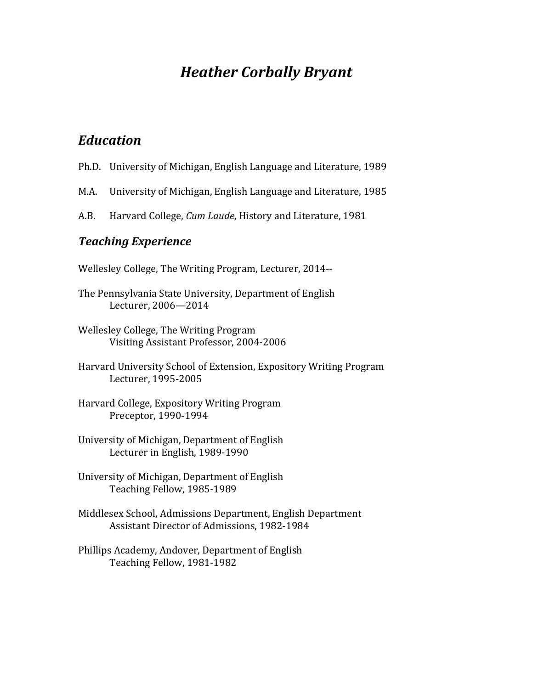# *Heather Corbally Bryant*

### *Education*

- Ph.D. University of Michigan, English Language and Literature, 1989
- M.A. University of Michigan, English Language and Literature, 1985
- A.B. Harvard College, *Cum Laude*, History and Literature, 1981

#### *Teaching Experience*

- Wellesley College, The Writing Program, Lecturer, 2014--
- The Pennsylvania State University, Department of English Lecturer, 2006—2014
- Wellesley College, The Writing Program Visiting Assistant Professor, 2004-2006
- Harvard University School of Extension, Expository Writing Program Lecturer, 1995-2005
- Harvard College, Expository Writing Program Preceptor, 1990-1994
- University of Michigan, Department of English Lecturer in English, 1989-1990
- University of Michigan, Department of English Teaching Fellow, 1985-1989
- Middlesex School, Admissions Department, English Department Assistant Director of Admissions, 1982-1984
- Phillips Academy, Andover, Department of English Teaching Fellow, 1981-1982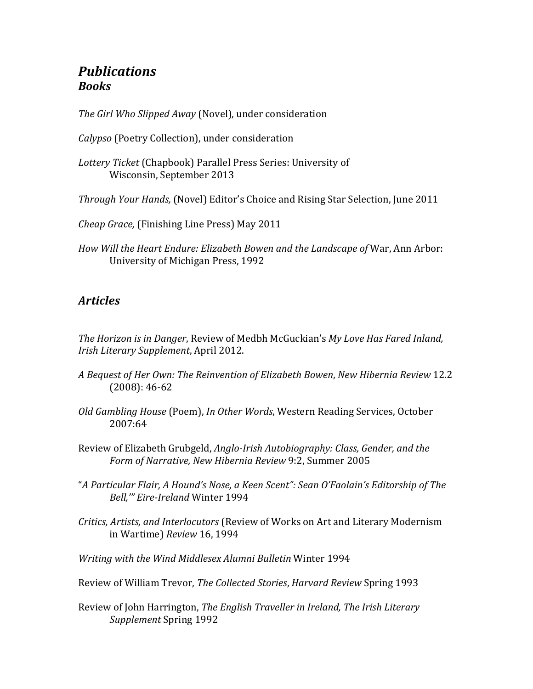### *Publications Books*

The Girl Who Slipped Away (Novel), under consideration

*Calypso* (Poetry Collection), under consideration

- Lottery Ticket (Chapbook) Parallel Press Series: University of Wisconsin, September 2013
- *Through Your Hands,* (Novel) Editor's Choice and Rising Star Selection, June 2011

*Cheap Grace,* (Finishing Line Press) May 2011

*How Will the Heart Endure: Elizabeth Bowen and the Landscape of* War, Ann Arbor: University of Michigan Press, 1992

#### *Articles*

*The Horizon is in Danger*, Review of Medbh McGuckian's My Love Has Fared Inland, *Irish Literary Supplement*, April 2012.

- *A Bequest of Her Own: The Reinvention of Elizabeth Bowen*, *New Hibernia Review* 12.2  $(2008): 46-62$
- *Old Gambling House* (Poem), *In Other Words*, Western Reading Services, October 2007:64
- Review of Elizabeth Grubgeld, *Anglo-Irish Autobiography: Class, Gender, and the Form of Narrative, New Hibernia Review* 9:2, Summer 2005
- "*A Particular Flair, A Hound's Nose, a Keen Scent": Sean O'Faolain's Editorship of The Bell,'" Eire-Ireland* Winter 1994
- *Critics, Artists, and Interlocutors* (Review of Works on Art and Literary Modernism in Wartime) *Review* 16, 1994

*Writing with the Wind Middlesex Alumni Bulletin* Winter 1994

- Review of William Trevor, *The Collected Stories*, *Harvard Review* Spring 1993
- Review of John Harrington, *The English Traveller in Ireland*, *The Irish Literary* **Supplement** Spring 1992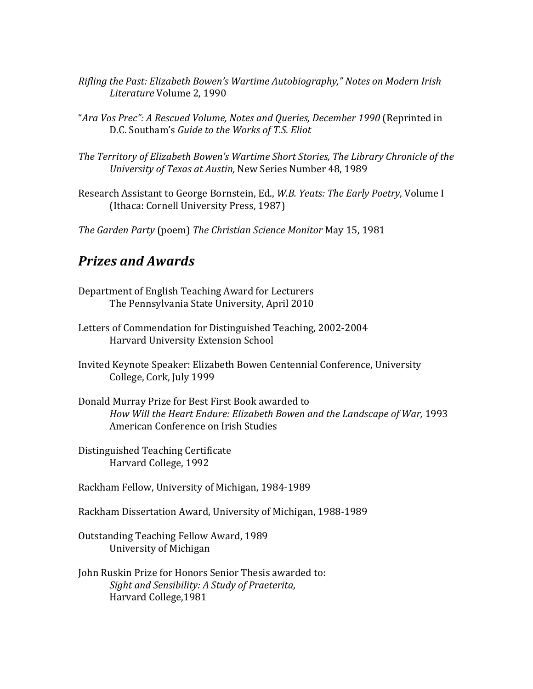- *Rifling the Past: Elizabeth Bowen's Wartime Autobiography," Notes on Modern Irish Literature* Volume 2, 1990
- "Ara Vos Prec": A Rescued Volume, Notes and Queries, December 1990 (Reprinted in D.C. Southam's *Guide to the Works of T.S. Eliot*
- The Territory of Elizabeth Bowen's Wartime Short Stories, The Library Chronicle of the *University of Texas at Austin,* New Series Number 48, 1989
- Research Assistant to George Bornstein, Ed., *W.B. Yeats: The Early Poetry*, Volume I (Ithaca: Cornell University Press, 1987)
- *The Garden Party* (poem) *The Christian Science Monitor* May 15, 1981

#### *Prizes and Awards*

- Department of English Teaching Award for Lecturers The Pennsylvania State University, April 2010
- Letters of Commendation for Distinguished Teaching, 2002-2004 Harvard University Extension School
- Invited Keynote Speaker: Elizabeth Bowen Centennial Conference, University College, Cork, July 1999
- Donald Murray Prize for Best First Book awarded to How Will the Heart Endure: Elizabeth Bowen and the Landscape of War, 1993 American Conference on Irish Studies
- Distinguished Teaching Certificate Harvard College, 1992

Rackham Fellow, University of Michigan, 1984-1989

- Rackham Dissertation Award, University of Michigan, 1988-1989
- Outstanding Teaching Fellow Award, 1989 University of Michigan
- John Ruskin Prize for Honors Senior Thesis awarded to: Sight and Sensibility: A Study of Praeterita, Harvard College,1981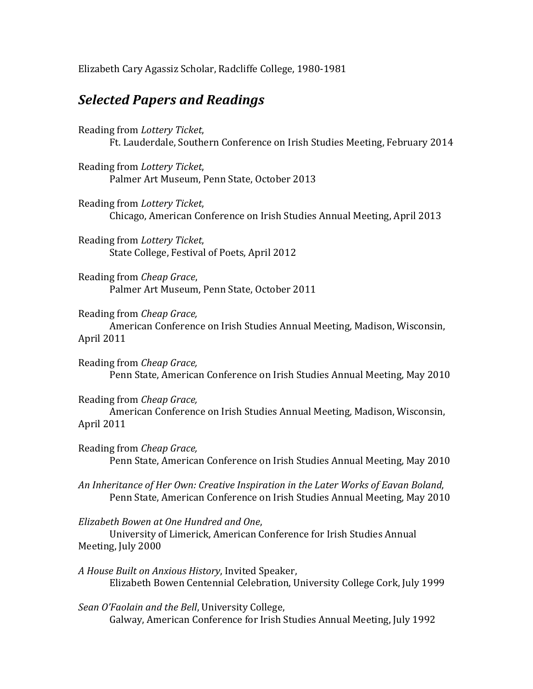Elizabeth Cary Agassiz Scholar, Radcliffe College, 1980-1981

### *Selected Papers and Readings*

Reading from *Lottery Ticket*, Ft. Lauderdale, Southern Conference on Irish Studies Meeting, February 2014

Reading from *Lottery Ticket*, Palmer Art Museum, Penn State, October 2013

Reading from *Lottery Ticket*, Chicago, American Conference on Irish Studies Annual Meeting, April 2013

Reading from *Lottery Ticket*, State College, Festival of Poets, April 2012

Reading from *Cheap Grace*, Palmer Art Museum, Penn State, October 2011

Reading from *Cheap Grace*,

American Conference on Irish Studies Annual Meeting, Madison, Wisconsin, April 2011

Reading from *Cheap Grace*, Penn State, American Conference on Irish Studies Annual Meeting, May 2010

Reading from *Cheap Grace,*  American Conference on Irish Studies Annual Meeting, Madison, Wisconsin, April 2011

Reading from *Cheap Grace*, Penn State, American Conference on Irish Studies Annual Meeting, May 2010

*An Inheritance of Her Own: Creative Inspiration in the Later Works of Eavan Boland*, Penn State, American Conference on Irish Studies Annual Meeting, May 2010

*Elizabeth Bowen at One Hundred and One*, 

University of Limerick, American Conference for Irish Studies Annual Meeting, July 2000

*A House Built on Anxious History*, Invited Speaker, Elizabeth Bowen Centennial Celebration, University College Cork, July 1999

Sean O'Faolain and the Bell, University College, Galway, American Conference for Irish Studies Annual Meeting, July 1992